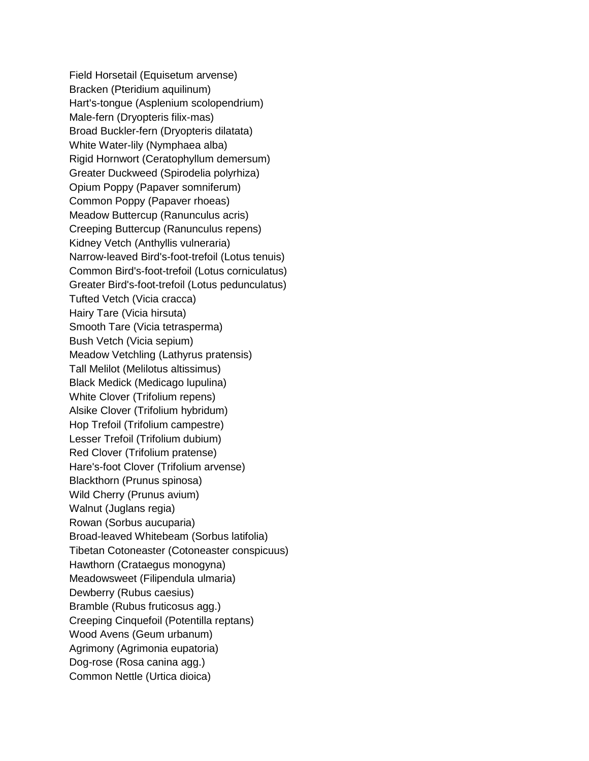Field Horsetail (Equisetum arvense) Bracken (Pteridium aquilinum) Hart's-tongue (Asplenium scolopendrium) Male-fern (Dryopteris filix-mas) Broad Buckler-fern (Dryopteris dilatata) White Water-lily (Nymphaea alba) Rigid Hornwort (Ceratophyllum demersum) Greater Duckweed (Spirodelia polyrhiza) Opium Poppy (Papaver somniferum) Common Poppy (Papaver rhoeas) Meadow Buttercup (Ranunculus acris) Creeping Buttercup (Ranunculus repens) Kidney Vetch (Anthyllis vulneraria) Narrow-leaved Bird's-foot-trefoil (Lotus tenuis) Common Bird's-foot-trefoil (Lotus corniculatus) Greater Bird's-foot-trefoil (Lotus pedunculatus) Tufted Vetch (Vicia cracca) Hairy Tare (Vicia hirsuta) Smooth Tare (Vicia tetrasperma) Bush Vetch (Vicia sepium) Meadow Vetchling (Lathyrus pratensis) Tall Melilot (Melilotus altissimus) Black Medick (Medicago lupulina) White Clover (Trifolium repens) Alsike Clover (Trifolium hybridum) Hop Trefoil (Trifolium campestre) Lesser Trefoil (Trifolium dubium) Red Clover (Trifolium pratense) Hare's-foot Clover (Trifolium arvense) Blackthorn (Prunus spinosa) Wild Cherry (Prunus avium) Walnut (Juglans regia) Rowan (Sorbus aucuparia) Broad-leaved Whitebeam (Sorbus latifolia) Tibetan Cotoneaster (Cotoneaster conspicuus) Hawthorn (Crataegus monogyna) Meadowsweet (Filipendula ulmaria) Dewberry (Rubus caesius) Bramble (Rubus fruticosus agg.) Creeping Cinquefoil (Potentilla reptans) Wood Avens (Geum urbanum) Agrimony (Agrimonia eupatoria) Dog-rose (Rosa canina agg.) Common Nettle (Urtica dioica)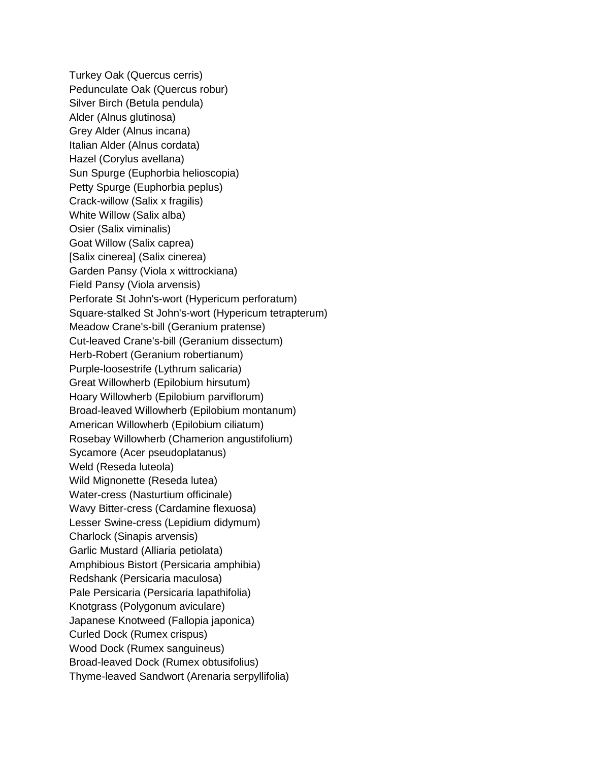Turkey Oak (Quercus cerris) Pedunculate Oak (Quercus robur) Silver Birch (Betula pendula) Alder (Alnus glutinosa) Grey Alder (Alnus incana) Italian Alder (Alnus cordata) Hazel (Corylus avellana) Sun Spurge (Euphorbia helioscopia) Petty Spurge (Euphorbia peplus) Crack-willow (Salix x fragilis) White Willow (Salix alba) Osier (Salix viminalis) Goat Willow (Salix caprea) [Salix cinerea] (Salix cinerea) Garden Pansy (Viola x wittrockiana) Field Pansy (Viola arvensis) Perforate St John's-wort (Hypericum perforatum) Square-stalked St John's-wort (Hypericum tetrapterum) Meadow Crane's-bill (Geranium pratense) Cut-leaved Crane's-bill (Geranium dissectum) Herb-Robert (Geranium robertianum) Purple-loosestrife (Lythrum salicaria) Great Willowherb (Epilobium hirsutum) Hoary Willowherb (Epilobium parviflorum) Broad-leaved Willowherb (Epilobium montanum) American Willowherb (Epilobium ciliatum) Rosebay Willowherb (Chamerion angustifolium) Sycamore (Acer pseudoplatanus) Weld (Reseda luteola) Wild Mignonette (Reseda lutea) Water-cress (Nasturtium officinale) Wavy Bitter-cress (Cardamine flexuosa) Lesser Swine-cress (Lepidium didymum) Charlock (Sinapis arvensis) Garlic Mustard (Alliaria petiolata) Amphibious Bistort (Persicaria amphibia) Redshank (Persicaria maculosa) Pale Persicaria (Persicaria lapathifolia) Knotgrass (Polygonum aviculare) Japanese Knotweed (Fallopia japonica) Curled Dock (Rumex crispus) Wood Dock (Rumex sanguineus) Broad-leaved Dock (Rumex obtusifolius) Thyme-leaved Sandwort (Arenaria serpyllifolia)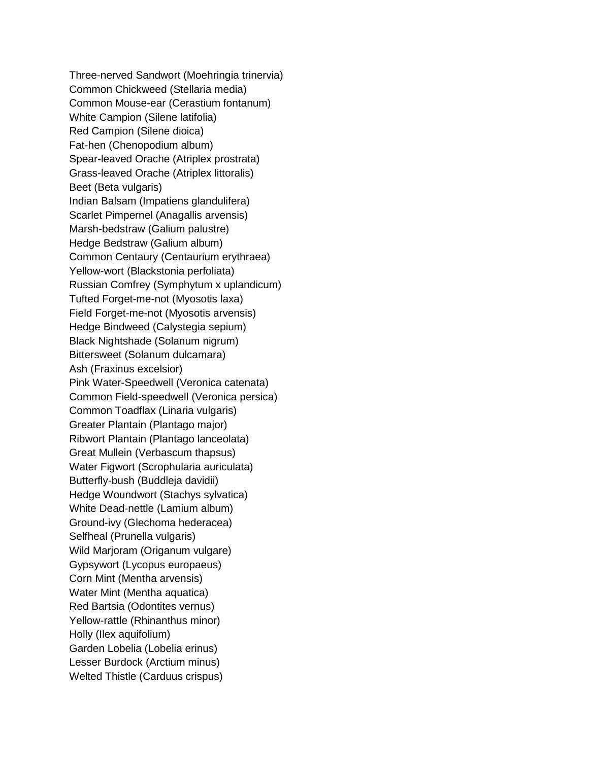Three-nerved Sandwort (Moehringia trinervia) Common Chickweed (Stellaria media) Common Mouse-ear (Cerastium fontanum) White Campion (Silene latifolia) Red Campion (Silene dioica) Fat-hen (Chenopodium album) Spear-leaved Orache (Atriplex prostrata) Grass-leaved Orache (Atriplex littoralis) Beet (Beta vulgaris) Indian Balsam (Impatiens glandulifera) Scarlet Pimpernel (Anagallis arvensis) Marsh-bedstraw (Galium palustre) Hedge Bedstraw (Galium album) Common Centaury (Centaurium erythraea) Yellow-wort (Blackstonia perfoliata) Russian Comfrey (Symphytum x uplandicum) Tufted Forget-me-not (Myosotis laxa) Field Forget-me-not (Myosotis arvensis) Hedge Bindweed (Calystegia sepium) Black Nightshade (Solanum nigrum) Bittersweet (Solanum dulcamara) Ash (Fraxinus excelsior) Pink Water-Speedwell (Veronica catenata) Common Field-speedwell (Veronica persica) Common Toadflax (Linaria vulgaris) Greater Plantain (Plantago major) Ribwort Plantain (Plantago lanceolata) Great Mullein (Verbascum thapsus) Water Figwort (Scrophularia auriculata) Butterfly-bush (Buddleja davidii) Hedge Woundwort (Stachys sylvatica) White Dead-nettle (Lamium album) Ground-ivy (Glechoma hederacea) Selfheal (Prunella vulgaris) Wild Marjoram (Origanum vulgare) Gypsywort (Lycopus europaeus) Corn Mint (Mentha arvensis) Water Mint (Mentha aquatica) Red Bartsia (Odontites vernus) Yellow-rattle (Rhinanthus minor) Holly (Ilex aquifolium) Garden Lobelia (Lobelia erinus) Lesser Burdock (Arctium minus) Welted Thistle (Carduus crispus)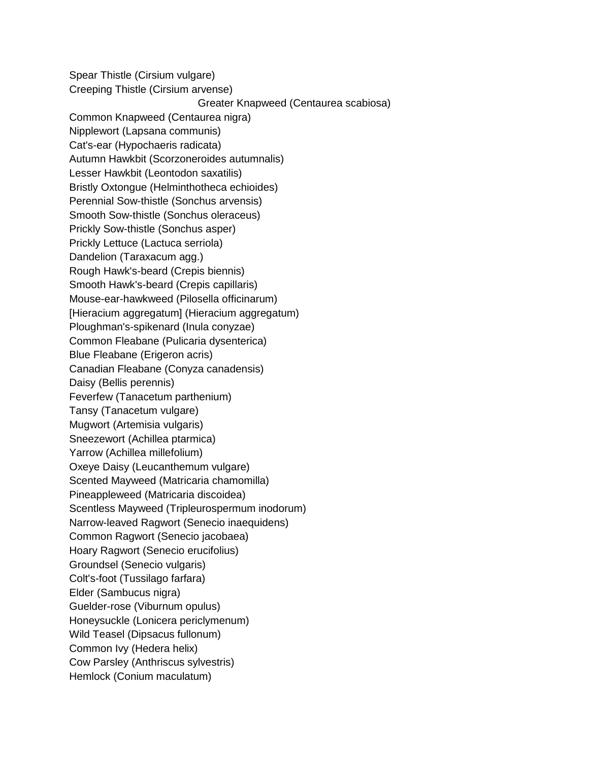Spear Thistle (Cirsium vulgare) Creeping Thistle (Cirsium arvense) Greater Knapweed (Centaurea scabiosa) Common Knapweed (Centaurea nigra) Nipplewort (Lapsana communis) Cat's-ear (Hypochaeris radicata) Autumn Hawkbit (Scorzoneroides autumnalis) Lesser Hawkbit (Leontodon saxatilis) Bristly Oxtongue (Helminthotheca echioides) Perennial Sow-thistle (Sonchus arvensis) Smooth Sow-thistle (Sonchus oleraceus) Prickly Sow-thistle (Sonchus asper) Prickly Lettuce (Lactuca serriola) Dandelion (Taraxacum agg.) Rough Hawk's-beard (Crepis biennis) Smooth Hawk's-beard (Crepis capillaris) Mouse-ear-hawkweed (Pilosella officinarum) [Hieracium aggregatum] (Hieracium aggregatum) Ploughman's-spikenard (Inula conyzae) Common Fleabane (Pulicaria dysenterica) Blue Fleabane (Erigeron acris) Canadian Fleabane (Conyza canadensis) Daisy (Bellis perennis) Feverfew (Tanacetum parthenium) Tansy (Tanacetum vulgare) Mugwort (Artemisia vulgaris) Sneezewort (Achillea ptarmica) Yarrow (Achillea millefolium) Oxeye Daisy (Leucanthemum vulgare) Scented Mayweed (Matricaria chamomilla) Pineappleweed (Matricaria discoidea) Scentless Mayweed (Tripleurospermum inodorum) Narrow-leaved Ragwort (Senecio inaequidens) Common Ragwort (Senecio jacobaea) Hoary Ragwort (Senecio erucifolius) Groundsel (Senecio vulgaris) Colt's-foot (Tussilago farfara) Elder (Sambucus nigra) Guelder-rose (Viburnum opulus) Honeysuckle (Lonicera periclymenum) Wild Teasel (Dipsacus fullonum) Common Ivy (Hedera helix) Cow Parsley (Anthriscus sylvestris) Hemlock (Conium maculatum)